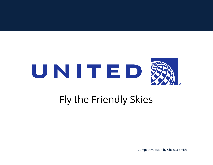

# Fly the Friendly Skies

Competitive Audit by Chelsea Smith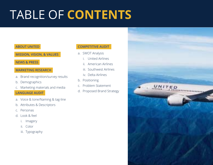# TABLE OF **CONTENTS**

### **ABOUT UNITED**

**MISSION, VISION, & VALUES**

### **NEWS & PRESS**

### **MARKETING RESEARCH**

- a. Brand recognition/survey results
- b. Demographics
- c. Marketing materials and media

### **LANGUAGE AUDIT**

- a. Voice & tone/Naming & tag-line
- b. Attributes & Descriptors
- c. Personas
- d. Look & feel
	- i. Imagery
	- ii. Color
	- iii. Typography

### **COMPETITIVE AUDIT**

- a. SWOT Analysis
	- i. United Airlines
	- ii. American Airlines
	- iii. Southwest Airlines
	- iv. Delta Airlines
- b. Positioning
- c. Problem Statement
- d. Proposed Brand Strategy

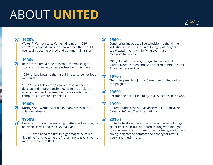# ABOUT **UNITED**

### **1920's**

Walter T. Varney starts Varney Air Lines in 1926 and Varney Speed Lines in 1934, airlines that would eventually become United and Continental Airlines.

### **1930s**

 $\boldsymbol{\mathsf{X}}$ 

 $\boldsymbol{\mathsf{X}}$ 

 $\blacktriangledown$ 

Became the first airline to introduce female flight attendants, creating a new profession for women.

1936, United became the first airline to serve hot food mid-flight.

1937, "Flying Laboratory" allowed researchers to develop and improve technologies in the airplane environment and became the first airline to use computers to create flight plans.

### **1940's**

During WWII woman worked in many areas in the aviation industry.

### **1950's**

United introduced the male flight attendant with flights between Hawaii and the USA mainland.

1957, United used the first in-flight magazine called "Mainliner" and became the first airline to give airborne radar to the entire fleet.

### **1960's**

Continental introduced live television to the airline industry. In the 707's in-flight lounge passengers could watch live TV while flying over major metropolitan areas.

1963, United lost a lengthy legal battle with Pilot Marlon DeWitt Green and was ordered to hire the first African American Pilot.

### **1970's**

The to be president Jimmy Carter flew United doing his campaign tour.

### **1980's**

Became the first airline to fly to all 50 states in the USA.

### **1990's**

X

 $\blacktriangledown$ 

United founded the star alliance with Lufthansa, Air Canada, SAS and Thai International.

### **2010's**

United introduced Polaris which is a pre-flight lounge experience, spacious on-board seating with thoughtful storage, amenities from exclusive partners, world-class dining, heightened comfort and privacy for restful sleep, and much more.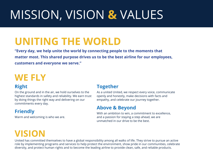# MISSION, VISION **&** VALUES

# **UNITING THE WORLD**

**"Every day, we help unite the world by connecting people to the moments that matter most. This shared purpose drives us to be the best airline for our employees, customers and everyone we serve."**

## **WE FLY**

### **Right**

On the ground and in the air, we hold ourselves to the highest standards in safety and reliability. We earn trust by doing things the right way and delivering on our commitments every day.

### **Friendly**

Warm and welcoming is who we are.

### **Together**

As a united United, we respect every voice, communicate openly and honestly, make decisions with facts and empathy, and celebrate our journey together.

### **Above & Beyond**

With an ambition to win, a commitment to excellence, and a passion for staying a step ahead, we are unmatched in our drive to be the best.

## **VISION**

United has committed themselves to have a global responsibility among all walks of life. They strive to pursue an active role by implementing programs and services to help protect the environment, show pride in our communities, celebrate diversity, and protect human rights and to become the leading airline to provide clean, safe, and reliable products.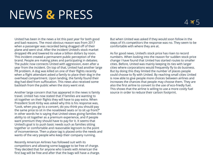# NEWS **&** PRESS

United has been in the news a lot this past year for both good and bad reasons. The most obvious reason was from 2017 when a passenger was recorded being dragged off of their plane and went viral. After the incident United's stock market dropped 4% and lowered its value a billion dollars by noon. This incident created a permanent public perception of the brand. People are making jokes and participating in debates. The public now connects United with aggression, even after a year from the incident. On top of that, United had another large PR problem. A dog was killed on one of their flights recently when a flight attendant asked a family to place their dog in the overhead compartment. Upon landing, the family found their dog had died from suffocation. This news also received some backlash from the public when the story went viral.

Another large concern that has appeared in the news is family travel. United has now stated that if families are wanting to sit together on their flights they will have to pay extra. When President Scott Kirby was asked why this is his response was, "Look, when you go to a concert, do you think you should pay the same price to sit in the nosebleed seats or to sit up front?" In other words he is saying that United views giving families the ability to sit together as a premium experience, and if people want premium they should have to pay for it. It seems that United's goal is to push basic needs such as families sitting together or comfortable and reasonable legroom to the point of inconvenience. Then a place tag is placed onto the needs and wants of the very people who keep their company running.

Recently American Airlines has followed suit with its competitors and allowing some baggage to be free of charge. They decided that for anyone who travels with American the first bag will be free and after that the bags will have a charge. But when United was asked if they would soon follow in the steps of it's competitors the response was no. They seem to be comfortable with where they are at.

As for good news, United's stock price has risen to record numbers. When looking into the reason for sudden stock price change I have found that United has started routes to smaller cities. Before, United was mainly keeping its ties with larger cities where corporations would frequently fly to do business. But by doing this they limited the number of places people could choose to fly with United. By reaching small cities United is now able to give people more choices between airlines and increases the chances that people may choose them. They are also the first airline to convert to the use of eco-friedly fuel. This shows that the airline is willing to use a more costly fuel source in order to reduce their carbon footprint.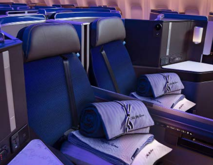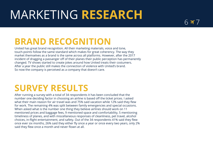# MARKETING **RESEARCH**

## **BRAND RECOGNITION**

United has great brand recognition. All their marketing materials, voice and tone, touch-points follow the same standard which makes for great coherency. The way they market themselves as a brand is the same across all platforms. However, after the 2017 incident of dragging a passanger off of their planes their public perception has permanently changed. TV shows started to create jokes around how United treats their costumers. After a year the public still makes the connection of violence with United's brand. So now the company is perceived as a company that doesn't care.

## **SURVEY RESULTS**

After running a survey with a total of 34 respondents it has been concluded that the number one deciding factor in choosing an airline is based off the ticket prices. I asked what their main reason for air travel was and 75% said vacation while 12% said they flew for work. The remaining 4% was split between family emergencies and special occasions. When asked what is the number one thing they believe airlines should work on 11 mentioned prices and baggage fees, 9 mentioned space and comfortability, 5 mentioning timeliness of planes, and with miscellaneous responses of cleanliness, pet travel, alcohol choices, in-flight entertainment, and safety. Out of the 34 respondents 41% said they flew once ever six months, 26% said they either fly once a year or once every two years, only 2% said they flew once a month and never flown at all.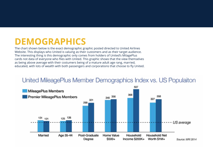## **DEMOGRAPHICS**

The chart shown below is the exact demographic graphic posted directed to United Airlines Website. This displays who United is valuing as their customers and as their target audience. The interesting thing is this demographic only comes from holders of United's MilagePlus cards not data of everyone who flies with United. This graphic shows that the view themselves as being above average with their costumers being of a mature adult age rang, married, educated, with lots of wealth with both passengers and corporations that choose to fly United.

### United MileagePlus Member Demographics Index vs. US Populaiton

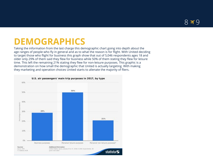## **DEMOGRAPHICS**

Taking the information from the last charge this demographic chart going into depth about the age ranges of people who fly in general and as to what the reason is for flight. With United deciding to target those who flight for business this graph show that out of 5,046 respondents ages 18 and older only 29% of them said they flew for business while 50% of them stating they flew for leisure time. This left the remaining 21% stating they flew for non-leisure purposes. This graphic is a demonstration on how small the demographic that United is actually targeting. With making they marketing and operation choices United starts to alienate the majority of fliers.

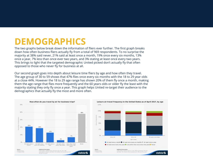## **DEMOGRAPHICS**

The two graphs below break down the information of fliers ever further. The first graph breaks down how often business fliers actually fly from a total of 969 respondents. To no surprise the majority at 38% said never, 21% said at least once a month, 19% once every six months, 13% once a year, 7% less than once ever two years, and 3% stating at least once every two years. This brings to light that the targeted demographic United picked don't actually fly that often opposed to those who never fly for business at all.

Our second graph goes into depth about leisure time fliers by age and how often they travel. The age group of 30 to 59 shows that 47% flies once every six months with the 18 to 29 year olds at a close 44%. However the 18 to 29 age range has shown 20% of them fly once a month, making them the age range that flies more frequently and the 60 years olds or older fly the least with the majority stating they only fly once a year. This graph helps United re-target their audience to the demographics that actually fly the most and more often.

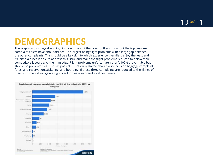## **DEMOGRAPHICS**

The graph on this page doesn't go into depth about the types of fliers but about the top customer complaints fliers have about airlines. The largest being flight problems with a large gap between the other complaints. This should be a key sign to which experience they fliers enjoy the least and if United airlines is able to address this issue and make the flight problems reduced to below their competitors it could give them an edge. Flight problems unfortunately aren't 100% preventable but should be prevented as much as possible. Thats why United should also focus on baggage complaints, fares, and reservations,ticketing, and boarding. If these three complaints are reduced to the likings of their costumers it will gain a significant increase in brand loyal costumers.

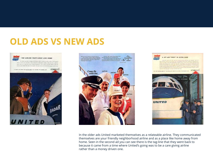## **OLD ADS VS NEW ADS**







In the older ads United marketed themselves as a relateable airline. They communicated themselves are your friendly neighborhood airline and as a place like home away from home. Seen in the second ad you can see there is the tag-line that they went back to because it came from a time where United's going was to be a care giving airline rather than a money driven one.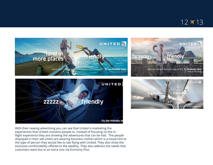



With their newing advertising you can see that United is marketing the experiences that United connects people to. Instead of focusing on the inflight experience they are showing the adventures that can be had. The people displayed in their ads (men) are wearing business clothes which is a visual hint to the type of person they would like to see flying with United. They also show the exclusive comfortability offered to the wealthy. They also address the needs that costumers want but at an extra cost via Economy Plus.

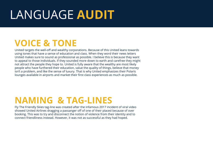# LANGUAGE **AUDIT**

## **VOICE & TONE**

United targets the well-off and wealthy corporations. Because of this United leans towards using tones that have a sense of education and class. When they word their news letters United makes sure to sound as professional as possible. I believe this is because they want to appeal to those individuals. If they sounded more down to earth and carefree they might not attract the people they hope to. United is fully aware that the wealthy are most likely people who have furthered their education, value the quality of things, believe that money isn't a problem, and like the sense of luxury. That is why United emphasizes their Polaris lounges available in airports and market their first class experiences as much as possible.

## **NAMING & TAG-LINES**

Fly The Friendly Skies tag-line was created after the infamous 2017 incident of viral video showed United Airlines dragging a passanger off of one of their placed because of over booking. This was to try and disconnect the notion of violence from their identity and to connect friendliness instead. However, it was not as successful as they had hoped.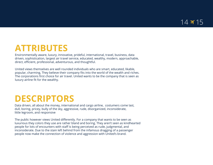## **ATTRIBUTES**

Environmentally aware, luxury, innovative, prideful, international, travel, business, data driven, sophistication, largest air travel service, educated, wealthy, modern, approachable, direct, efficient, professional, adventurous, and thoughtful.

United views themselves are well rounded individuals who are smart, educated, likable, popular, charming, They believe their company fits into the world of the wealth and riches. The corporations first choice for air travel. United wants to be the company that is seen as luxury airline fit for the wealthy.

## **DESCRIPTORS**

Data driven, all about the money, international and cargo airline, costumers come last, dull, boring, pricey, bully of the sky, aggressive, rude, disorganized, inconsiderate, little legroom, and responsive

The public however views United differently. For a company that wants to be seen as luxurious they colors they use are rather bland and boring. They aren't seen as kindhearted people for lots of encounters with staff is being perceived as rude, judgmental, and inconsiderate. Due to the stain left behind from the infamous dragging of a passenger people now make the connection of violence and aggression with United's brand.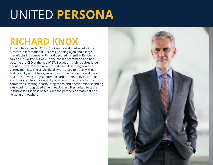# UNITED **PERSONA**

## **RICHARD KNOX**

Richard has attended Oxford university and graduated with a Masters in International Business. Landing a job and a large manufacturing company Richard devoted his entire life too his career. He worked his way up the chain of command and has become the CEO at the age of 57. Because his job requires large about of travel Richard never found himself settling down and getting married. The single life allows Richard to travel without feeling guilty about being away from home frequently and days at a time. Having to fly so often Richard prefers to fly in comfort and luxury, so he chooses to fly business or first class for the comfortable seating, spacious leg room, and doesn't mind spending extra cash for upgraded amenities. Richard flies united because in business/first class he feels like the pampered treatment and relaxing atmosphere.

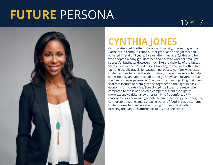# **FUTURE** PERSONA

## 16  $\times$  17



# **CYNTHIA JONES**

Cynthia attended Southern Carolina University, graduating with a Bachelors in communications. After graduation she got married to her girlfriend of 5 years. 2 years after marriage Cynthia and her wife adopted a baby girl. Both her and her wife work for small yet successful business. However, much like the majority of the United States Cynthia doesn't find herself traveling for business often. In fact, she usually travels for vacation purposes. Her family chooses United airlines because the staff is always more than willing to help, super friendly and approachable, and go above and beyond to suit the needs of ever passenger. She loves the idea of picking their own seat that insures her family can sit together on the flight in basic economy for no extra fee. Sure United is a little more expensive compared to the lower ticketed competitors, but the slightly more expensive ticket allows her family to fly comfortably with reasonable leg room, in-flight entertainment to occupy her daughter, comfortable seating, and a great selection of food in basic economy! United makes her feel like she is flying business class without breaking the bank. It's affordable luxury and she love it!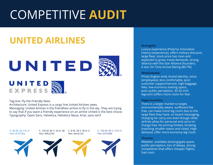# COMPETITIVE **AUDIT**

# **UNITED AIRLINES**



Tag-line: Fly the Friendly Skies

Architecture: United Express is a cargo line United Airlines owes. Messaging: United Airlines is the friendliest airline to fly in the sky. They are trying to say that if you want a friendly experience on an airline United is the best choice. Typography: Open Sans, Helvetica, Helvetica Neue, Arial, sans-serif

C: 86 M: 52: 0 K: 0 Hex: #1572ba

C: 100 M: 86 Y: 43 K: 48 C: 8 M: 28 Y: 96 K: 0 Hex: #0b2343

Hex: #ecb72d

C: 100 M: 90 Y: 10 K: 0 Hex: #25408f



### **Strengths:**

Luxury experience (Polaris), Innovative history (experience), offers military discount, large fleet, stock price has risen and expected to grow, travel demands, strong alliance with the Star Alliance (founder), 4 star On Time Arrival Rating (80.7%)

#### **Weaknesses:**

Prices (higher end), brand identity, voice (employees), less comfortable, poor customer support/service, high baggage fees, low economy seating space, poor public perception, 30-32-inch legroom (offers more room for fee)

### **Opportunities:**

There is a larger market to target, environmentally aware, surfboard fee free, can make more leg room due to the large fleet they have, on board messaging, charging for carry-ons even though other airlines allow for personal and carry-on charge free, No pricing limited, Growing (reaching smaller towns and cities), High demand, offer more economy leg room

#### **Threats:**

Weather, available docking/gate space, public perception, lots of delays, strong competition that offers cheaper flights, fuel costs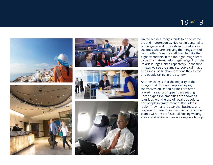









United Airlines images tends to be centered around mature adults. Not just in personality but in age as well. They show this adults as the ones who are enjoying the things United has to offer. Even the staff member like the flight attendants in the top right image seem to be of a matured adults age range. From the Polaris lounge United repeatedly. In the first images we see the same stereotypical image all airlines use to show locations they fly too and people taking in the scenery.

Another thing is that the majority of the images that displays people enjoying themselves on United Airlines are often placed in seating of upper class seating. These expensive amenities are shown as luxurious with the use of royal clue colors, and people in amazement of the Polaris lobby. They make it clear that business and corporations are more than welcome on their planes with the professional looking waiting area and showing a man working on a laptop.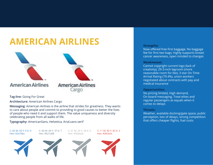## **AMERICAN AIRLINES**

### **American Airlines**



### **Tag-line:** Going For Great

### **Architecture:** American Airlines Cargo

**Messaging:** American Airlines is the airline that strides for greatness. They wants to care about people and commit to providing to good causes to better the lives of people who need it and support them. The value uniqueness and diversity celebrating people from all walks of life.

**Typography:** AmericanSans, Helvetica, Arial,sans-serif



### **Strengths:**

Now offered free first baggage, No baggage fee for first two bags, highly supports breast cancer awareness, open minded to changes

#### **Weaknesses:**

Cannot copyright current logo (lack of creativity), 29-3-inch legroom (more reasonable room for fee), 3 star On Time Arrival Rating (79.4%), union workers negotiated about contracts with pay and medical insurance

#### **Opportunities:**

No pricing limited, High demand, On board messaging, Treat elites and regular passengers as equals when it comes to delays

### **Threats:**

Weather, available docking/gate space, public perception, lots of delays, strong competition that offers cheaper flights, fuel costs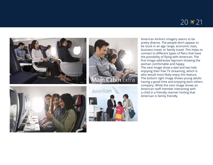

American Airline's imagery seems to be pretty diverse. The people don't appear to be stuck in an age range, economic class, business travel, or family travel. This helps to connect to different types of fliers that have the possibility of flying with American. The first image addresses legroom showing the woman comfortable and happy. The next image show a dad and two kids enjoying their free TV streaming, which is who would most likely enjoy this feature. The bottom right image shows young adults having a good time and enjoying each others company. While the next image shows an American staff member interacting with a child in a friendly manner hinting that American is family friendly.



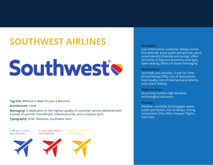## **SOUTHWEST AIRLINES** Strengths:

# Southwest's

### **Tag-line:** Without a Heart it's Just a Machine

#### **Architecture:** none

**Messaging:** Is dedication to the highest quality of customer service delivered with a sense of warmth, friendliness, individual pride, and company spirit

**Typography:** Arial, Helvetica, Southwest Sans







Low ticket prices, customer always comes first attitude, great public perspective, good brand identity (friendly and caring), offers 32-inches of legroom (economy average), open seating, offers on board messaging

#### **Weaknesses:**

Less bells and whistles, 3 star On Time Arrival Rating (78%), Out of date planes, food quality, lots of mechanical problems, only coach seating

### **Opportunities:**

No pricing limited, High demand, technological advances

### **Threats:**

Weather, available docking/gate space, public perception, lots of delays, strong competition that offers cheaper flights, fuel costs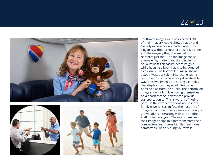## 22 7 23





Southwest images were as expected. All of their imagery would show a happy and friendly experience no matter what. The slogan is Without a Heart it's just a Machine, and the imagery they choose help to reinforce just that. The top image shows a female flight attendant standing in from of Southwest's signature heart insignia while hugging a bear that is to be donated to children. The bottom left image shows a Southwest desk clerk interacting with a costumer in such a carefree yet relate able way. This two images are strong examples that display how they would like to be perceived as from the public. The bottom left image shows a family enjoying themselves on a beach that Southwest can provide transportation to. This is worthy of noting because the competitor don't really show family experiences. In fact, the majority of imagery from the other airlines are mainly of grown adults interacting with one another, staff, or technologies. The use of families in their images helps to differ them from their competitors and makes families feel more comfortable when picking Southwest.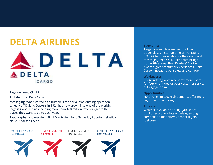# **DELTA AIRLINES** DELTA **ADELTA** CARGO

### **Tag-line:** Keep Climbing

### **Architecture:** Delta Cargo

**Messaging:** What started as a humble, little aerial crop dusting operation called Huff Daland Dusters in 1924 has now grown into one of the world's largest global airlines, helping more than 160 million travelers get to the places they want to go to each year.

**Typography:** apple-system, BlinkMacSystemFont, Segoe UI, Roboto, Helvetica Neue, Arial,sans-serif

C: 90 M: 60 Y: 15 K: 2 Hex: #1f659c

C: 6 M: 100 Y: 87 K: 0 Hex: #e01933



C: 76 M: 67 Y: 61 K: 68 Hex: #212529

C: 100 M: 87 Y: 33 K: 23 Hex: #003366





### **Strengths:**

Target a great class market (middle/ upper class), 4 star on time arrival rating (83.8%), few cancellations, offers on board messaging, free WiFi, Delta team brings home 7th annual Beat Readers' Choice Awards, great costumer experiences, Delta Cargo innovating pet safety and comfort

#### **Weaknesses:**

30-32-inch legroom (economy more room for fee), Viral video of poor costumer service at baggage claim

#### **Opportunities:**

No pricing limited, High demand, offer more leg room for economy

### **Threats:**

Weather, available docking/gate space, public perception, lots of delays, strong competition that offers cheaper flights, fuel costs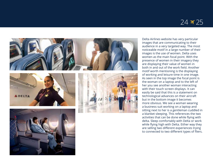







Delta Airlines website has very particular images that are communicating to their audience in a very targeted way. The most noticeable motif in a large number of their images is the use of women. Delta uses women as the main focal point. With the presence of women in their imagery they are displaying their value of women in both in and out of the work field. Another motif worth mentioning is the displaying of working and leisure time in one image. As seen in the top image the focal point is the woman on a laptop and to the left of her you see another woman interacting with their touch screen displays. It can easily be said that this is a statement on technological advances on their aircraft but in the bottom image it becomes more obvious. We see a woman wearing a business suit working on a laptop and sitting next to her is a gentleman cuddled in a blanket sleeping. This references the two activities that can be done while flying with delta. Sleep comfortably with Delta or work while flying high with Delta. Either way they are selling two different experiences trying to connected to two different types of fliers.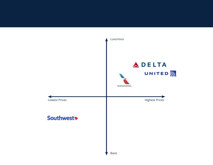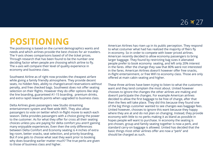## **POSITIONING**

The positioning is based on the current demographics wants and needs and which airlines provide the best choices for air travelers. The Y-axis shows comparisons based of of the ticket prices. Through research that has been found to be the number one deciding factor when people are choosing which airline to fly. The x-axis will compare their level of quality experience in economy and business class.

Southwest Airline as of right now provides the cheapest airfare while giving a family friendly atmosphere. They provide decent seats, no hidden fees, ability to change/cancel reservations without penalty, and free checked bags. Southwest does not offer seating selection on their flights. However they do offer options like skip the line boarding, guaranteed A1-15 boarding, premium drinks, and extra rapid rewards points when upgraded to business class.

Delta Airlines gives passengers new Studio streaming entertainment system and fleet wide WiFi. They also allow passangers to vote on twitter which in-flight movie to watch each season. Delta provides passangers with a choice giving the power to the customer. As for what they offer for cross all their seating choices unless you are paying for delta comfort you aren't gaining many enjoyable experiences. Even then the only differences between Delta Comfort and Economy seating is 4 inches of extra leg room, better snacks, seat selection, and priority boarding. But if one gets to choose what seat they want prior to booking why does boarding earlier matter much? The true perks are given to those of business class and higher.

American Airlines has risen up in its public perception. They respond to what costumer what had has realized the majority of fliers fly in economy. So in order to compete with lower priced airlines. American recently decided to allow economy passengers to bring larger baggage. They found by restricting bag sizes it alienated people prefer to book economy seating, and left only 20% interest in the fares. After the change they saw that 80% were not interested in the fares. American Airlines doesn't however offer free snacks, in-flight entertainment, or free WiFi to economy class. Those are only offered at main cabin seating and higher.

These three airlines have been trying to listen to what the customers want and they tend complain the most about. United however chooses to ignore the changes the other airlines are making and doesn't participate the changes. For example American airlines decided to allow the first baggage to be free of charge, after that then the fees will take place. They did this because they found one of the big things customer wanted to see changes was baggage fees. United however, chooses to ignore this want because they happy where they are at and do not plan on changing. Instead, they provide economy with little to no perks making it as bland as possible in hopes people will want to purchase. In economy the seating is pre-chosen, group and family seating together is now a perk, and standard carry-on baggage is allowed. United has decided that the basic things most other airlines offer are now a "perk" and should be charged as such.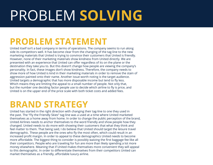# PROBLEM **SOLVING**

## **PROBLEM STATEMENT**

United itself isn't a bad company in terms of operations. The company seems to run along side its competitors well. It has become clear from the changing of the tag-line to the new marketing materials that United is trying to convince their customers that United is friendly. However, none of their marketing materials show kindness from United directly. We are presented with an experience that United can offer regardless of its on the plane or the destination they take you to. But this doesn't change how people are viewing the company's personality. In fact, these images don't show kindness. Therefore, the company needs to show more of how United is kind in their marketing materials in order to remove the stain of aggression painted onto their name. Another issue worth noting is the target audience. United targets a demographic that has more disposable income but tend to fly less. Which means they are limiting the appeal to a small number of people. Not only that, but the number one deciding factor people use to decide which airline to fly is price, and United is on the upper end of the price scale with both ticket costs and added fees.

## **BRAND STRATEGY**

United has started in the right direction with changing their tag-line to one they used in the past. The "Fly the Friendly Skies" tag-line was a used at a time where United marketed themselves as a home away from home. In order to change the public perception of the brand, United Airlines needs to anchor themselves to the word friendly and show people how they changed. United needs to do more with showing their customers that what they think and feel matter to them. That being said, I do believe that United should target the leisure travel demographic. These people are the ones who fly the most often, which could result in an increased profit margin. In order to appeal to these demographics United needs to become more affordable. The biggest thing to consider is possibly waiving the first baggage fee like all their competitors. People who are traveling for fun are more than likely spending a lot more money elsewhere. Meaning that if United makes themselves more convenient they will appeal to this demographic. In order to differentiate themselves from their competitors United can market themselves as a friendly, affordable luxury airline.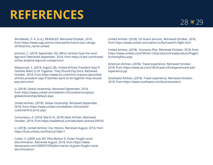# **REFERENCES**

Worldwide, O. A. (n.d.). REVEALED. Retrieved October, 2018, from https://www.oag.com/on-time-performance-star-ratings-2018?airline\_name=united

Johnson, C. (2018, September 26). Which airlines have the most legroom? Retrieved September, 2018, from https://clark.com/travel/ airline-airplane-legroom-comparison/

Matyszczyk, C. (2018, August 28). United Airlines President Says If Families Want to Sit Together, They Should Pay Extra. Retrieved October, 2018, from https://www.inc.com/chris-matyszczyk/unitedairlines-president-says-if-families-want-to-sit-together-they-shouldpay-extra.html

U. (2018). Global citizenship. Retrieved September, 2018, from https://www.united.com/web/en-US/content/company/ globalcitizenship/default.aspx

United Airlines. (2018). Global citizenship. Retrieved September, 2018, from https://www.united.com/web/en-US/content/ customerfirst-print.aspx

Comoreanu, A. (2018, March 5). 2018's Best Airlines. Retrieved October, 2018, from https://wallethub.com/edu/best-airlines/20916/

U. (2018). United Airlines: Our History. Retrieved August, 2018, from https://hub.united.com/history/?ada=1

Culver, V. (2009, July 09). Pilot Marlon D. Green fought racial discrimination. Retrieved August, 2018, from https://www. denverpost.com/2009/07/09/pilot-marlon-d-green-fought-racialdiscrimination/

United Airlines. (2018). On board services. Retrieved October, 2018, from https://www.united.com/ual/en/us/fly/travel/in-flight.html

United Airlines. (2018). Economy Plus. Retrieved October, 2018, from https://www.united.com/CMS/en-US/products/travelproducts/Pages/ EconomyPlus.aspx

American Airlines. (2018). Travel experience. Retrieved October, 2018, from https://www.aa.com/i18n/travel-info/experience/travelexperience.jsp

Southwest Airlines. (2018). Travel experience. Retrieved October, 2018, from https://www.southwest.com/businessselect/